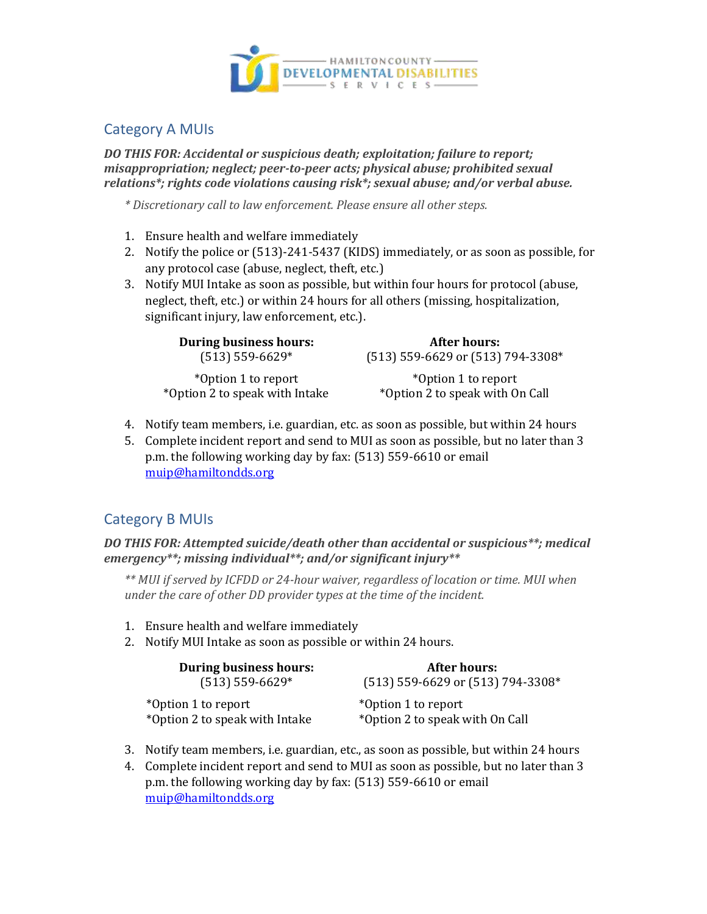

## Category A MUIs

*DO THIS FOR: Accidental or suspicious death; exploitation; failure to report; misappropriation; neglect; peer-to-peer acts; physical abuse; prohibited sexual relations\*; rights code violations causing risk\*; sexual abuse; and/or verbal abuse.*

*\* Discretionary call to law enforcement. Please ensure all other steps.*

- 1. Ensure health and welfare immediately
- 2. Notify the police or (513)-241-5437 (KIDS) immediately, or as soon as possible, for any protocol case (abuse, neglect, theft, etc.)
- 3. Notify MUI Intake as soon as possible, but within four hours for protocol (abuse, neglect, theft, etc.) or within 24 hours for all others (missing, hospitalization, significant injury, law enforcement, etc.).

| <b>During business hours:</b>  | After hours:                      |
|--------------------------------|-----------------------------------|
| $(513)$ 559-6629*              | (513) 559-6629 or (513) 794-3308* |
| *Option 1 to report            | *Option 1 to report               |
| *Option 2 to speak with Intake | *Option 2 to speak with On Call   |

- 4. Notify team members, i.e. guardian, etc. as soon as possible, but within 24 hours
- 5. Complete incident report and send to MUI as soon as possible, but no later than 3 p.m. the following working day by fax: (513) 559-6610 or email [muip@hamiltondds.org](mailto:muip@hamiltondds.org)

# Category B MUIs

*DO THIS FOR: Attempted suicide/death other than accidental or suspicious\*\*; medical emergency\*\*; missing individual\*\*; and/or significant injury\*\**

*\*\* MUI if served by ICFDD or 24-hour waiver, regardless of location or time. MUI when under the care of other DD provider types at the time of the incident.*

- 1. Ensure health and welfare immediately
- 2. Notify MUI Intake as soon as possible or within 24 hours.

| <b>During business hours:</b>  | After hours:                      |
|--------------------------------|-----------------------------------|
| $(513)$ 559-6629*              | (513) 559-6629 or (513) 794-3308* |
| *Option 1 to report            | *Option 1 to report               |
| *Option 2 to speak with Intake | *Option 2 to speak with On Call   |

- 3. Notify team members, i.e. guardian, etc., as soon as possible, but within 24 hours
- 4. Complete incident report and send to MUI as soon as possible, but no later than 3 p.m. the following working day by fax: (513) 559-6610 or email [muip@hamiltondds.org](mailto:muip@hamiltondds.org)